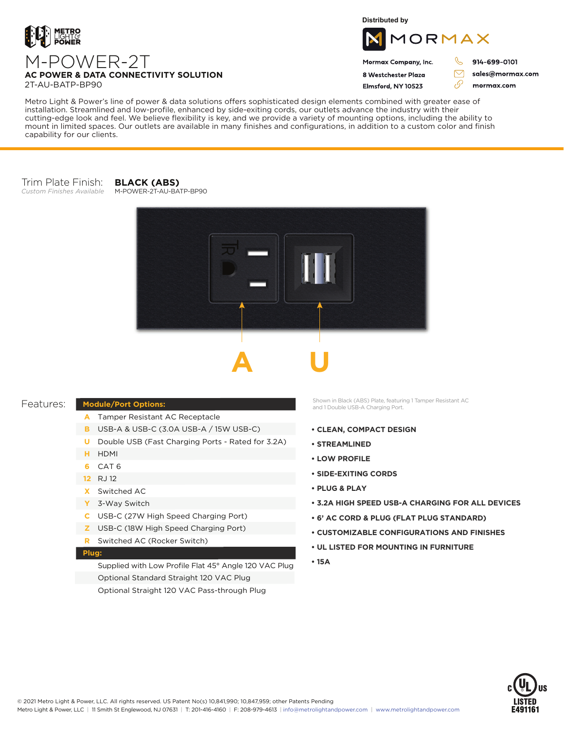

**Distributed by**



Mormax Company, Inc. 8 Westchester Plaza

Flmsford, NY 10523

914-699-0101

 $\mathcal{C}$ 

 $\bigtriangledown$ 

76

sales@mormax.com mormax.com

**AC POWER & DATA CONNECTIVITY SOLUTION** 2T-AU-BATP-BP90

M-POWER-2T

Metro Light & Power's line of power & data solutions offers sophisticated design elements combined with greater ease of installation. Streamlined and low-profile, enhanced by side-exiting cords, our outlets advance the industry with their cutting-edge look and feel. We believe flexibility is key, and we provide a variety of mounting options, including the ability to mount in limited spaces. Our outlets are available in many finishes and configurations, in addition to a custom color and finish

## Trim Plate Finish:

*Custom Finishes Available*

capability for our clients.

#### **BLACK (ABS)** M-POWER-2T-AU-BATP-BP90





### Features:

# **Module/Port Options:**

- Tamper Resistant AC Receptacle **A**
- USB-A & USB-C (3.0A USB-A / 15W USB-C) **B**
- **U** Double USB (Fast Charging Ports Rated for 3.2A)
- HDMI **H**
- CAT 6 **6**
- RJ 12 **12**
- Switched AC **X**
- 3-Way Switch **Y**
- USB-C (27W High Speed Charging Port) **C**
- USB-C (18W High Speed Charging Port) **Z**
- Switched AC (Rocker Switch) **R**

### **Plug:**

Supplied with Low Profile Flat 45° Angle 120 VAC Plug Optional Standard Straight 120 VAC Plug Optional Straight 120 VAC Pass-through Plug

Shown in Black (ABS) Plate, featuring 1 Tamper Resistant AC and 1 Double USB-A Charging Port.

- **CLEAN, COMPACT DESIGN**
- **STREAMLINED**
- **LOW PROFILE**
- **SIDE-EXITING CORDS**
- **PLUG & PLAY**
- **3.2A HIGH SPEED USB-A CHARGING FOR ALL DEVICES**
- **6' AC CORD & PLUG (FLAT PLUG STANDARD)**
- **CUSTOMIZABLE CONFIGURATIONS AND FINISHES**
- **UL LISTED FOR MOUNTING IN FURNITURE**
- **15A**